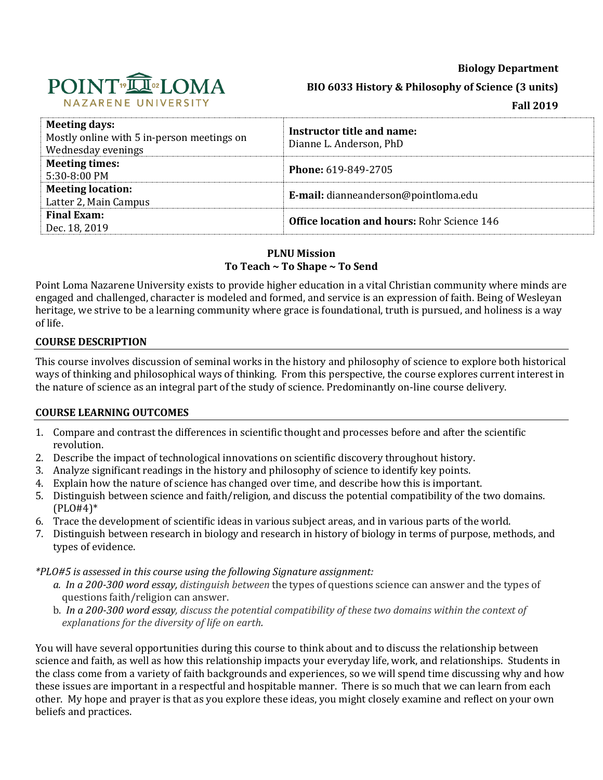**Biology Department**



**BIO 6033 History & Philosophy of Science (3 units)**

**Fall 2019**

| <b>Meeting days:</b><br>Mostly online with 5 in-person meetings on<br>Wednesday evenings | Instructor title and name:<br>Dianne L. Anderson, PhD |
|------------------------------------------------------------------------------------------|-------------------------------------------------------|
| <b>Meeting times:</b><br>5:30-8:00 PM                                                    | <b>Phone: 619-849-2705</b>                            |
| <b>Meeting location:</b><br>Latter 2, Main Campus                                        | E-mail: dianneanderson@pointloma.edu                  |
| <b>Final Exam:</b><br>Dec. 18, 2019                                                      | <b>Office location and hours: Rohr Science 146</b>    |

### **PLNU Mission To Teach ~ To Shape ~ To Send**

Point Loma Nazarene University exists to provide higher education in a vital Christian community where minds are engaged and challenged, character is modeled and formed, and service is an expression of faith. Being of Wesleyan heritage, we strive to be a learning community where grace is foundational, truth is pursued, and holiness is a way of life.

# **COURSE DESCRIPTION**

This course involves discussion of seminal works in the history and philosophy of science to explore both historical ways of thinking and philosophical ways of thinking. From this perspective, the course explores current interest in the nature of science as an integral part of the study of science. Predominantly on-line course delivery.

# **COURSE LEARNING OUTCOMES**

- 1. Compare and contrast the differences in scientific thought and processes before and after the scientific revolution.
- 2. Describe the impact of technological innovations on scientific discovery throughout history.
- 3. Analyze significant readings in the history and philosophy of science to identify key points.
- 4. Explain how the nature of science has changed over time, and describe how this is important.
- 5. Distinguish between science and faith/religion, and discuss the potential compatibility of the two domains. (PLO#4)\*
- 6. Trace the development of scientific ideas in various subject areas, and in various parts of the world.
- 7. Distinguish between research in biology and research in history of biology in terms of purpose, methods, and types of evidence.

*\*PLO#5 is assessed in this course using the following Signature assignment:* 

- *a. In a 200-300 word essay, distinguish between* the types of questions science can answer and the types of questions faith/religion can answer.
- b. *In a 200-300 word essay, discuss the potential compatibility of these two domains within the context of explanations for the diversity of life on earth.*

You will have several opportunities during this course to think about and to discuss the relationship between science and faith, as well as how this relationship impacts your everyday life, work, and relationships. Students in the class come from a variety of faith backgrounds and experiences, so we will spend time discussing why and how these issues are important in a respectful and hospitable manner. There is so much that we can learn from each other. My hope and prayer is that as you explore these ideas, you might closely examine and reflect on your own beliefs and practices.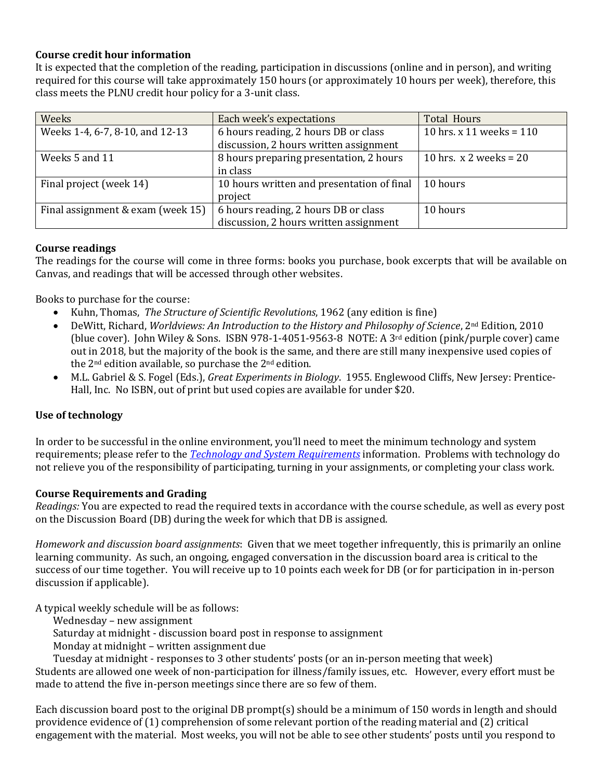# **Course credit hour information**

It is expected that the completion of the reading, participation in discussions (online and in person), and writing required for this course will take approximately 150 hours (or approximately 10 hours per week), therefore, this class meets the PLNU credit hour policy for a 3-unit class.

| Weeks                             | Each week's expectations                   | <b>Total Hours</b>         |
|-----------------------------------|--------------------------------------------|----------------------------|
| Weeks 1-4, 6-7, 8-10, and 12-13   | 6 hours reading, 2 hours DB or class       | 10 hrs. x 11 weeks = $110$ |
|                                   | discussion, 2 hours written assignment     |                            |
| Weeks 5 and 11                    | 8 hours preparing presentation, 2 hours    | 10 hrs. $x$ 2 weeks = 20   |
|                                   | in class                                   |                            |
| Final project (week 14)           | 10 hours written and presentation of final | 10 hours                   |
|                                   | project                                    |                            |
| Final assignment & exam (week 15) | 6 hours reading, 2 hours DB or class       | 10 hours                   |
|                                   | discussion, 2 hours written assignment     |                            |

#### **Course readings**

The readings for the course will come in three forms: books you purchase, book excerpts that will be available on Canvas, and readings that will be accessed through other websites.

Books to purchase for the course:

- Kuhn, Thomas, *The Structure of Scientific Revolutions*, 1962 (any edition is fine)
- DeWitt, Richard, *Worldviews: An Introduction to the History and Philosophy of Science*, 2nd Edition, 2010 (blue cover). John Wiley & Sons. ISBN 978-1-4051-9563-8 NOTE: A  $3<sup>rd</sup>$  edition (pink/purple cover) came out in 2018, but the majority of the book is the same, and there are still many inexpensive used copies of the 2nd edition available, so purchase the 2nd edition.
- M.L. Gabriel & S. Fogel (Eds.), *Great Experiments in Biology*. 1955. Englewood Cliffs, New Jersey: Prentice-Hall, Inc. No ISBN, out of print but used copies are available for under \$20.

# **Use of technology**

In order to be successful in the online environment, you'll need to meet the minimum technology and system requirements; please refer to the *[Technology and System Requirements](file://///ptloma.edu/courses/46859/pages/technology-and-system-requirements)* information. Problems with technology do not relieve you of the responsibility of participating, turning in your assignments, or completing your class work.

# **Course Requirements and Grading**

*Readings:* You are expected to read the required texts in accordance with the course schedule, as well as every post on the Discussion Board (DB) during the week for which that DB is assigned.

*Homework and discussion board assignments*: Given that we meet together infrequently, this is primarily an online learning community. As such, an ongoing, engaged conversation in the discussion board area is critical to the success of our time together. You will receive up to 10 points each week for DB (or for participation in in-person discussion if applicable).

A typical weekly schedule will be as follows:

Wednesday – new assignment

Saturday at midnight - discussion board post in response to assignment

Monday at midnight – written assignment due

Tuesday at midnight - responses to 3 other students' posts (or an in-person meeting that week)

Students are allowed one week of non-participation for illness/family issues, etc. However, every effort must be made to attend the five in-person meetings since there are so few of them.

Each discussion board post to the original DB prompt(s) should be a minimum of 150 words in length and should providence evidence of (1) comprehension of some relevant portion of the reading material and (2) critical engagement with the material. Most weeks, you will not be able to see other students' posts until you respond to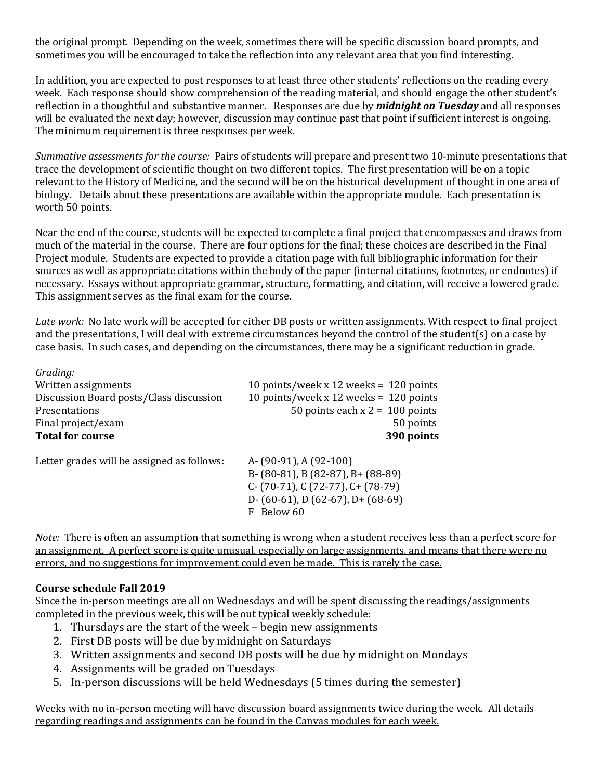the original prompt. Depending on the week, sometimes there will be specific discussion board prompts, and sometimes you will be encouraged to take the reflection into any relevant area that you find interesting.

In addition, you are expected to post responses to at least three other students' reflections on the reading every week. Each response should show comprehension of the reading material, and should engage the other student's reflection in a thoughtful and substantive manner. Responses are due by *midnight on Tuesday* and all responses will be evaluated the next day; however, discussion may continue past that point if sufficient interest is ongoing. The minimum requirement is three responses per week.

*Summative assessments for the course:* Pairs of students will prepare and present two 10-minute presentations that trace the development of scientific thought on two different topics. The first presentation will be on a topic relevant to the History of Medicine, and the second will be on the historical development of thought in one area of biology. Details about these presentations are available within the appropriate module. Each presentation is worth 50 points.

Near the end of the course, students will be expected to complete a final project that encompasses and draws from much of the material in the course. There are four options for the final; these choices are described in the Final Project module. Students are expected to provide a citation page with full bibliographic information for their sources as well as appropriate citations within the body of the paper (internal citations, footnotes, or endnotes) if necessary. Essays without appropriate grammar, structure, formatting, and citation, will receive a lowered grade. This assignment serves as the final exam for the course.

*Late work:* No late work will be accepted for either DB posts or written assignments. With respect to final project and the presentations, I will deal with extreme circumstances beyond the control of the student(s) on a case by case basis. In such cases, and depending on the circumstances, there may be a significant reduction in grade.

| Grading:                                   |                                          |
|--------------------------------------------|------------------------------------------|
| Written assignments                        | 10 points/week x 12 weeks = $120$ points |
| Discussion Board posts/Class discussion    | 10 points/week x 12 weeks = $120$ points |
| Presentations                              | 50 points each $x = 100$ points          |
| Final project/exam                         | 50 points                                |
| <b>Total for course</b>                    | 390 points                               |
| Lotton guades will be assigned as follows. | 1. <i>[</i> 00.01] 1. <i>[</i> 00.100]   |

Letter grades will be assigned as follows: A- (90-91), A (92-100)

B- (80-81), B (82-87), B+ (88-89) C- (70-71), C (72-77), C+ (78-79) D- (60-61), D (62-67), D+ (68-69) F Below 60

*Note:* There is often an assumption that something is wrong when a student receives less than a perfect score for an assignment. A perfect score is quite unusual, especially on large assignments, and means that there were no errors, and no suggestions for improvement could even be made. This is rarely the case.

# **Course schedule Fall 2019**

Since the in-person meetings are all on Wednesdays and will be spent discussing the readings/assignments completed in the previous week, this will be out typical weekly schedule:

- 1. Thursdays are the start of the week begin new assignments
- 2. First DB posts will be due by midnight on Saturdays
- 3. Written assignments and second DB posts will be due by midnight on Mondays
- 4. Assignments will be graded on Tuesdays
- 5. In-person discussions will be held Wednesdays (5 times during the semester)

Weeks with no in-person meeting will have discussion board assignments twice during the week. All details regarding readings and assignments can be found in the Canvas modules for each week.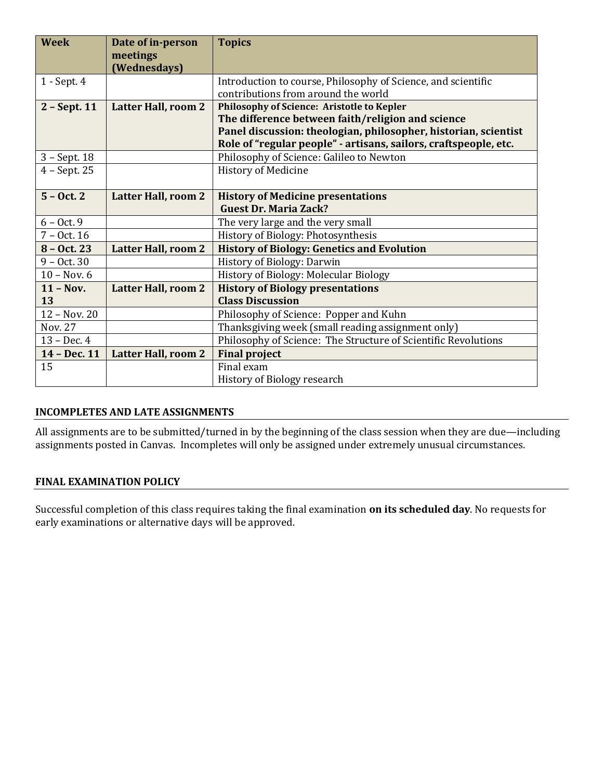| <b>Week</b>    | Date of in-person          | <b>Topics</b>                                                    |
|----------------|----------------------------|------------------------------------------------------------------|
|                | meetings<br>(Wednesdays)   |                                                                  |
| 1 - Sept. 4    |                            | Introduction to course, Philosophy of Science, and scientific    |
|                |                            | contributions from around the world                              |
| $2 - Sept. 11$ | <b>Latter Hall, room 2</b> | <b>Philosophy of Science: Aristotle to Kepler</b>                |
|                |                            | The difference between faith/religion and science                |
|                |                            | Panel discussion: theologian, philosopher, historian, scientist  |
|                |                            | Role of "regular people" - artisans, sailors, craftspeople, etc. |
| $3 - Sept. 18$ |                            | Philosophy of Science: Galileo to Newton                         |
| $4 - Sept.25$  |                            | <b>History of Medicine</b>                                       |
|                |                            |                                                                  |
| $5 - Oct. 2$   | <b>Latter Hall, room 2</b> | <b>History of Medicine presentations</b>                         |
|                |                            | <b>Guest Dr. Maria Zack?</b>                                     |
| $6 - Oct.9$    |                            | The very large and the very small                                |
| $7 - Oct. 16$  |                            | History of Biology: Photosynthesis                               |
| $8 - Oct. 23$  | <b>Latter Hall, room 2</b> | <b>History of Biology: Genetics and Evolution</b>                |
| $9 - Oct. 30$  |                            | History of Biology: Darwin                                       |
| $10 - Nov. 6$  |                            | History of Biology: Molecular Biology                            |
| $11 - Nov.$    | <b>Latter Hall, room 2</b> | <b>History of Biology presentations</b>                          |
| <b>13</b>      |                            | <b>Class Discussion</b>                                          |
| 12 - Nov. 20   |                            | Philosophy of Science: Popper and Kuhn                           |
| <b>Nov. 27</b> |                            | Thanksgiving week (small reading assignment only)                |
| $13 - Dec.4$   |                            | Philosophy of Science: The Structure of Scientific Revolutions   |
| 14 - Dec. 11   | Latter Hall, room 2        | <b>Final project</b>                                             |
| 15             |                            | Final exam                                                       |
|                |                            | History of Biology research                                      |

# **INCOMPLETES AND LATE ASSIGNMENTS**

All assignments are to be submitted/turned in by the beginning of the class session when they are due—including assignments posted in Canvas. Incompletes will only be assigned under extremely unusual circumstances.

# **FINAL EXAMINATION POLICY**

Successful completion of this class requires taking the final examination **on its scheduled day**. No requests for early examinations or alternative days will be approved.